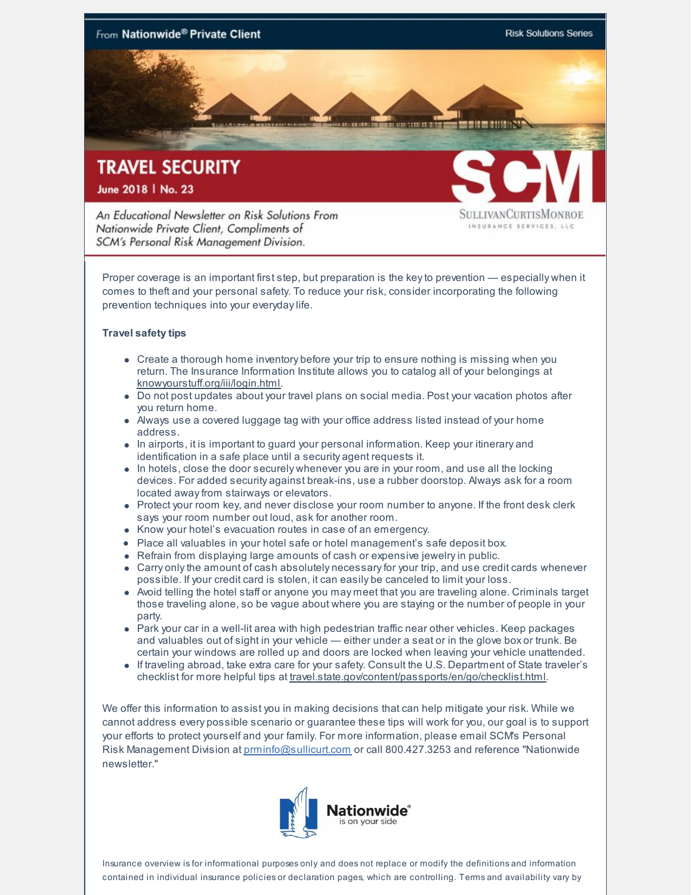

An Educational Newsletter on Risk Solutions From Nationwide Private Client, Compliments of SCM's Personal Risk Management Division.

SULLIVANCURTISMONROE INSURANCE SERVICES, LLC

Proper coverage is an important first step, but preparation is the keyto prevention — especially when it comes to theft and your personal safety. To reduce your risk, consider incorporating the following prevention techniques into your everydaylife.

## **Travel safety tips**

- Create a thorough home inventory before your trip to ensure nothing is missing when you return. The Insurance Information Institute allows you to catalog all of your belongings at [knowyourstuff.org/iii/login.html](http://knowyourstuff.org/iii/login.html).
- Do not post updates about your travel plans on social media. Post your vacation photos after you return home.
- Always use a covered luggage tag with your office address listed instead of your home address.
- In airports, it is important to guard your personal information. Keep your itinerary and identification in a safe place until a security agent requests it.
- $\bullet$  In hotels, close the door securely whenever you are in your room, and use all the locking devices. For added security against break-ins, use a rubber doorstop. Always ask for a room located awayfrom stairways or elevators.
- Protect your room key, and never disclose your room number to anyone. If the front desk clerk says your room number out loud, ask for another room.
- Know your hotel's evacuation routes in case of an emergency.
- Place all valuables in your hotel safe or hotel management's safe deposit box.
- Refrain from displaying large amounts of cash or expensive jewelryin public.
- Carry only the amount of cash absolutely necessary for your trip, and use credit cards whenever possible. If your credit card is stolen, it can easily be canceled to limit your loss.
- Avoid telling the hotel staff or anyone you may meet that you are traveling alone. Criminals target those traveling alone, so be vague about where you are staying or the number of people in your party.
- Park your car in a well-lit area with high pedestrian traffic near other vehicles. Keep packages and valuables out of sight in your vehicle — either under a seat or in the glove box or trunk. Be certain your windows are rolled up and doors are locked when leaving your vehicle unattended.
- If traveling abroad, take extra care for your safety. Consult the U.S. Department of State traveler's checklist for more helpful tips at [travel.state.gov/content/passports/en/go/checklist.html](http://travel.state.gov/content/passports/en/go/checklist.html).

We offer this information to assist you in making decisions that can help mitigate your risk. While we cannot address every possible scenario or guarantee these tips will work for you, our goal is to support your efforts to protect yourself and your family. For more information, please email SCM's Personal Risk Management Division at [prminfo@sullicurt.com](mailto:prminfo@sullicurt.com) or call 800.427.3253 and reference "Nationwide newsletter."



Insurance overview is for informational purposes only and does not replace or modify the definitions and information contained in individual insurance policies or declaration pages, which are controlling. Terms and availability vary by